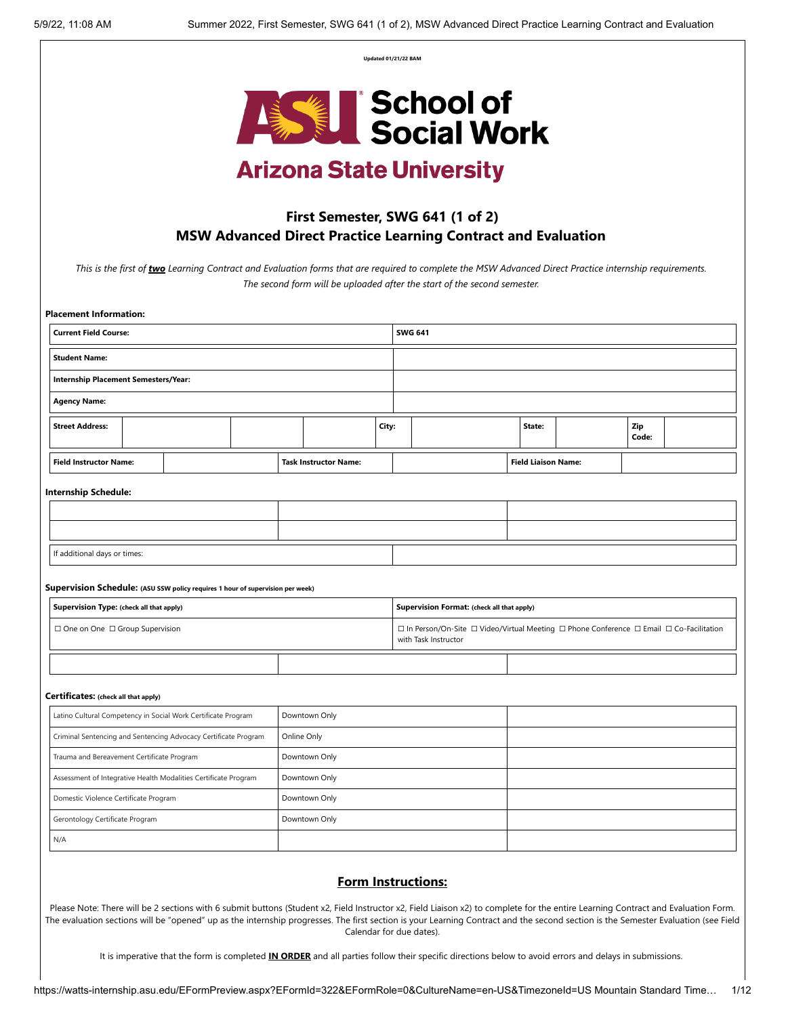**Updated 01/21/22 BAM**



# **Arizona State University**

# **First Semester, SWG 641 (1 of 2) MSW Advanced Direct Practice Learning Contract and Evaluation**

*This is the first of two Learning Contract and Evaluation forms that are required to complete the MSW Advanced Direct Practice internship requirements. The second form will be uploaded after the start of the second semester.* 

| <b>Placement Information:</b>                                                  |  |  |                              |       |                                                                                                                  |                                            |                            |  |              |  |
|--------------------------------------------------------------------------------|--|--|------------------------------|-------|------------------------------------------------------------------------------------------------------------------|--------------------------------------------|----------------------------|--|--------------|--|
| <b>Current Field Course:</b>                                                   |  |  | <b>SWG 641</b>               |       |                                                                                                                  |                                            |                            |  |              |  |
| <b>Student Name:</b>                                                           |  |  |                              |       |                                                                                                                  |                                            |                            |  |              |  |
| <b>Internship Placement Semesters/Year:</b>                                    |  |  |                              |       |                                                                                                                  |                                            |                            |  |              |  |
| <b>Agency Name:</b>                                                            |  |  |                              |       |                                                                                                                  |                                            |                            |  |              |  |
| <b>Street Address:</b>                                                         |  |  |                              | City: |                                                                                                                  |                                            | State:                     |  | Zip<br>Code: |  |
| <b>Field Instructor Name:</b>                                                  |  |  | <b>Task Instructor Name:</b> |       |                                                                                                                  |                                            | <b>Field Liaison Name:</b> |  |              |  |
| <b>Internship Schedule:</b>                                                    |  |  |                              |       |                                                                                                                  |                                            |                            |  |              |  |
|                                                                                |  |  |                              |       |                                                                                                                  |                                            |                            |  |              |  |
|                                                                                |  |  |                              |       |                                                                                                                  |                                            |                            |  |              |  |
| If additional days or times:                                                   |  |  |                              |       |                                                                                                                  |                                            |                            |  |              |  |
| Supervision Schedule: (ASU SSW policy requires 1 hour of supervision per week) |  |  |                              |       |                                                                                                                  |                                            |                            |  |              |  |
| Supervision Type: (check all that apply)                                       |  |  |                              |       |                                                                                                                  | Supervision Format: (check all that apply) |                            |  |              |  |
| □ One on One □ Group Supervision                                               |  |  |                              |       | □ In Person/On-Site □ Video/Virtual Meeting □ Phone Conference □ Email □ Co-Facilitation<br>with Task Instructor |                                            |                            |  |              |  |
|                                                                                |  |  |                              |       |                                                                                                                  |                                            |                            |  |              |  |
|                                                                                |  |  |                              |       |                                                                                                                  |                                            |                            |  |              |  |
| Certificates: (check all that apply)                                           |  |  |                              |       |                                                                                                                  |                                            |                            |  |              |  |
| Latino Cultural Competency in Social Work Certificate Program                  |  |  | Downtown Only                |       |                                                                                                                  |                                            |                            |  |              |  |
| Criminal Sentencing and Sentencing Advocacy Certificate Program                |  |  | Online Only                  |       |                                                                                                                  |                                            |                            |  |              |  |
| Trauma and Bereavement Certificate Program                                     |  |  | Downtown Only                |       |                                                                                                                  |                                            |                            |  |              |  |
| Assessment of Integrative Health Modalities Certificate Program                |  |  | Downtown Only                |       |                                                                                                                  |                                            |                            |  |              |  |
| Domestic Violence Certificate Program                                          |  |  | Downtown Only                |       |                                                                                                                  |                                            |                            |  |              |  |
| Gerontology Certificate Program                                                |  |  | Downtown Only                |       |                                                                                                                  |                                            |                            |  |              |  |

# **Form Instructions:**

Please Note: There will be 2 sections with 6 submit buttons (Student x2, Field Instructor x2, Field Liaison x2) to complete for the entire Learning Contract and Evaluation Form. The evaluation sections will be "opened" up as the internship progresses. The first section is your Learning Contract and the second section is the Semester Evaluation (see Field Calendar for due dates).

It is imperative that the form is completed **IN ORDER** and all parties follow their specific directions below to avoid errors and delays in submissions.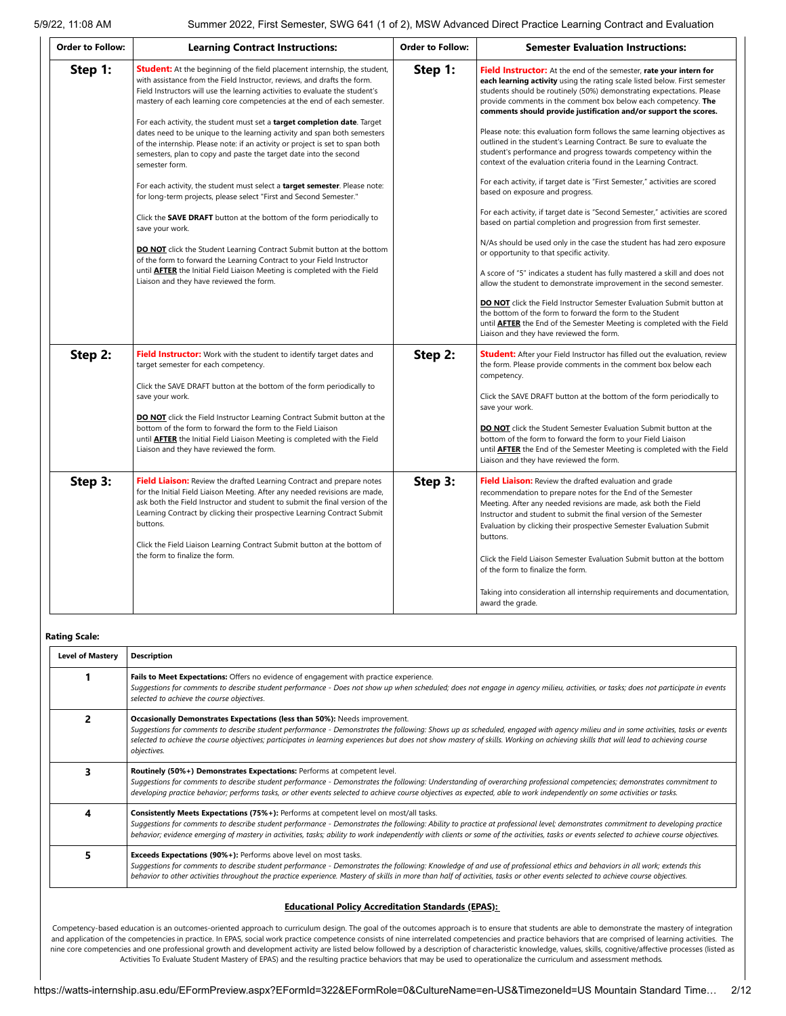| <b>Order to Follow:</b> | <b>Learning Contract Instructions:</b>                                                                                                                                                                                                                                                                                                                                                                                                                                                                                                                                                                                                                                                                                                                                                                                                                                                                                                                                                                                                                                                                                                                                                                           | <b>Order to Follow:</b> | <b>Semester Evaluation Instructions:</b>                                                                                                                                                                                                                                                                                                                                                                                                                                                                                                                                                                                                                                                                                                                                                                                                                                                                                                                                                                                                                                                                                                                                                                                                                                                                                                                                                                                                                                                        |
|-------------------------|------------------------------------------------------------------------------------------------------------------------------------------------------------------------------------------------------------------------------------------------------------------------------------------------------------------------------------------------------------------------------------------------------------------------------------------------------------------------------------------------------------------------------------------------------------------------------------------------------------------------------------------------------------------------------------------------------------------------------------------------------------------------------------------------------------------------------------------------------------------------------------------------------------------------------------------------------------------------------------------------------------------------------------------------------------------------------------------------------------------------------------------------------------------------------------------------------------------|-------------------------|-------------------------------------------------------------------------------------------------------------------------------------------------------------------------------------------------------------------------------------------------------------------------------------------------------------------------------------------------------------------------------------------------------------------------------------------------------------------------------------------------------------------------------------------------------------------------------------------------------------------------------------------------------------------------------------------------------------------------------------------------------------------------------------------------------------------------------------------------------------------------------------------------------------------------------------------------------------------------------------------------------------------------------------------------------------------------------------------------------------------------------------------------------------------------------------------------------------------------------------------------------------------------------------------------------------------------------------------------------------------------------------------------------------------------------------------------------------------------------------------------|
| Step 1:                 | <b>Student:</b> At the beginning of the field placement internship, the student,<br>with assistance from the Field Instructor, reviews, and drafts the form.<br>Field Instructors will use the learning activities to evaluate the student's<br>mastery of each learning core competencies at the end of each semester.<br>For each activity, the student must set a <b>target completion date</b> . Target<br>dates need to be unique to the learning activity and span both semesters<br>of the internship. Please note: if an activity or project is set to span both<br>semesters, plan to copy and paste the target date into the second<br>semester form.<br>For each activity, the student must select a target semester. Please note:<br>for long-term projects, please select "First and Second Semester."<br>Click the <b>SAVE DRAFT</b> button at the bottom of the form periodically to<br>save your work.<br><b>DO NOT</b> click the Student Learning Contract Submit button at the bottom<br>of the form to forward the Learning Contract to your Field Instructor<br>until <b>AFTER</b> the Initial Field Liaison Meeting is completed with the Field<br>Liaison and they have reviewed the form. | Step 1:                 | Field Instructor: At the end of the semester, rate your intern for<br>each learning activity using the rating scale listed below. First semester<br>students should be routinely (50%) demonstrating expectations. Please<br>provide comments in the comment box below each competency. The<br>comments should provide justification and/or support the scores.<br>Please note: this evaluation form follows the same learning objectives as<br>outlined in the student's Learning Contract. Be sure to evaluate the<br>student's performance and progress towards competency within the<br>context of the evaluation criteria found in the Learning Contract.<br>For each activity, if target date is "First Semester," activities are scored<br>based on exposure and progress.<br>For each activity, if target date is "Second Semester," activities are scored<br>based on partial completion and progression from first semester.<br>N/As should be used only in the case the student has had zero exposure<br>or opportunity to that specific activity.<br>A score of "5" indicates a student has fully mastered a skill and does not<br>allow the student to demonstrate improvement in the second semester.<br><b>DO NOT</b> click the Field Instructor Semester Evaluation Submit button at<br>the bottom of the form to forward the form to the Student<br>until <b>AFTER</b> the End of the Semester Meeting is completed with the Field<br>Liaison and they have reviewed the form. |
| Step 2:                 | Field Instructor: Work with the student to identify target dates and<br>target semester for each competency.<br>Click the SAVE DRAFT button at the bottom of the form periodically to<br>save your work.<br><b>DO NOT</b> click the Field Instructor Learning Contract Submit button at the<br>bottom of the form to forward the form to the Field Liaison<br>until <b>AFTER</b> the Initial Field Liaison Meeting is completed with the Field<br>Liaison and they have reviewed the form.                                                                                                                                                                                                                                                                                                                                                                                                                                                                                                                                                                                                                                                                                                                       | Step 2:                 | <b>Student:</b> After your Field Instructor has filled out the evaluation, review<br>the form. Please provide comments in the comment box below each<br>competency.<br>Click the SAVE DRAFT button at the bottom of the form periodically to<br>save your work.<br><b>DO NOT</b> click the Student Semester Evaluation Submit button at the<br>bottom of the form to forward the form to your Field Liaison<br>until <b>AFTER</b> the End of the Semester Meeting is completed with the Field<br>Liaison and they have reviewed the form.                                                                                                                                                                                                                                                                                                                                                                                                                                                                                                                                                                                                                                                                                                                                                                                                                                                                                                                                                       |
| Step 3:                 | Field Liaison: Review the drafted Learning Contract and prepare notes<br>for the Initial Field Liaison Meeting. After any needed revisions are made,<br>ask both the Field Instructor and student to submit the final version of the<br>Learning Contract by clicking their prospective Learning Contract Submit<br>buttons.<br>Click the Field Liaison Learning Contract Submit button at the bottom of<br>the form to finalize the form.                                                                                                                                                                                                                                                                                                                                                                                                                                                                                                                                                                                                                                                                                                                                                                       | Step 3:                 | Field Liaison: Review the drafted evaluation and grade<br>recommendation to prepare notes for the End of the Semester<br>Meeting. After any needed revisions are made, ask both the Field<br>Instructor and student to submit the final version of the Semester<br>Evaluation by clicking their prospective Semester Evaluation Submit<br>buttons.<br>Click the Field Liaison Semester Evaluation Submit button at the bottom<br>of the form to finalize the form.<br>Taking into consideration all internship requirements and documentation,<br>award the grade.                                                                                                                                                                                                                                                                                                                                                                                                                                                                                                                                                                                                                                                                                                                                                                                                                                                                                                                              |

**Rating Scale:**

| <b>Level of Mastery</b> | <b>Description</b>                                                                                                                                                                                                                                                                                                                                                                                                                                                      |  |  |  |  |  |
|-------------------------|-------------------------------------------------------------------------------------------------------------------------------------------------------------------------------------------------------------------------------------------------------------------------------------------------------------------------------------------------------------------------------------------------------------------------------------------------------------------------|--|--|--|--|--|
|                         | Fails to Meet Expectations: Offers no evidence of engagement with practice experience.<br>Suggestions for comments to describe student performance - Does not show up when scheduled; does not engage in agency milieu, activities, or tasks; does not participate in events<br>selected to achieve the course objectives.                                                                                                                                              |  |  |  |  |  |
| 2                       | Occasionally Demonstrates Expectations (less than 50%): Needs improvement.<br>Suggestions for comments to describe student performance - Demonstrates the following: Shows up as scheduled, engaged with agency milieu and in some activities, tasks or events<br>selected to achieve the course objectives; participates in learning experiences but does not show mastery of skills. Working on achieving skills that will lead to achieving course<br>objectives.    |  |  |  |  |  |
| 3                       | Routinely (50%+) Demonstrates Expectations: Performs at competent level.<br>Suggestions for comments to describe student performance - Demonstrates the following: Understanding of overarching professional competencies; demonstrates commitment to<br>developing practice behavior; performs tasks, or other events selected to achieve course objectives as expected, able to work independently on some activities or tasks.                                       |  |  |  |  |  |
| 4                       | Consistently Meets Expectations (75%+): Performs at competent level on most/all tasks.<br>Suggestions for comments to describe student performance - Demonstrates the following: Ability to practice at professional level; demonstrates commitment to developing practice<br>behavior; evidence emerging of mastery in activities, tasks; ability to work independently with clients or some of the activities, tasks or events selected to achieve course objectives. |  |  |  |  |  |
| 5                       | <b>Exceeds Expectations (90%+):</b> Performs above level on most tasks.<br>Suggestions for comments to describe student performance - Demonstrates the following: Knowledge of and use of professional ethics and behaviors in all work; extends this<br>behavior to other activities throughout the practice experience. Mastery of skills in more than half of activities, tasks or other events selected to achieve course objectives.                               |  |  |  |  |  |

Competency-based education is an outcomes-oriented approach to curriculum design. The goal of the outcomes approach is to ensure that students are able to demonstrate the mastery of integration and application of the competencies in practice. In EPAS, social work practice competence consists of nine interrelated competencies and practice behaviors that are comprised of learning activities. The nine core competencies and one professional growth and development activity are listed below followed by a description of characteristic knowledge, values, skills, cognitive/affective processes (listed as Activities To Evaluate Student Mastery of EPAS) and the resulting practice behaviors that may be used to operationalize the curriculum and assessment methods*.*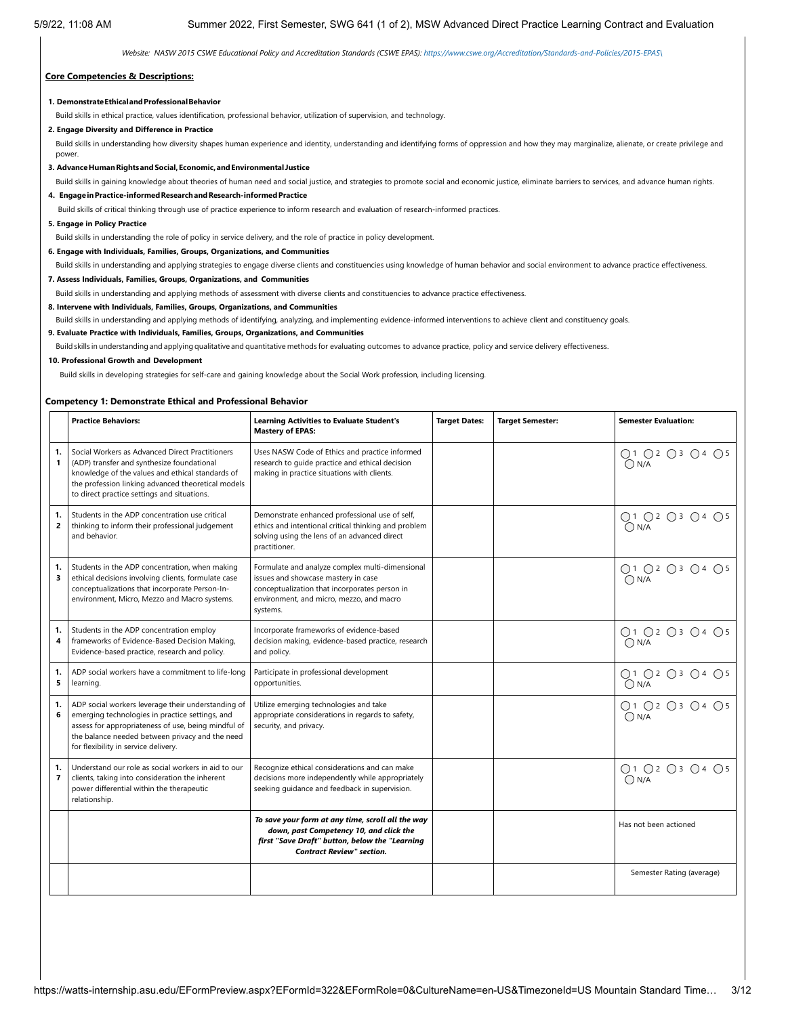*Website: NASW 2015 CSWE Educational Policy and Accreditation Standards (CSWE EPAS): [https://www.cswe.org/Accreditation/Standards-and-Policies/2015-EPAS\](https://www.cswe.org/Accreditation/Standards-and-Policies/2015-EPAS/)*

#### **Core Competencies & Descriptions:**

#### **1. DemonstrateEthicalandProfessionalBehavior**

Build skills in ethical practice, values identification, professional behavior, utilization of supervision, and technology.

#### **2. Engage Diversity and Difference in Practice**

Build skills in understanding how diversity shapes human experience and identity, understanding and identifying forms of oppression and how they may marginalize, alienate, or create privilege and power.

**3. AdvanceHumanRightsandSocial,Economic,andEnvironmental Justice**

Build skills in gaining knowledge about theories of human need and social justice, and strategies to promote social and economic justice, eliminate barriers to services, and advance human rights.

**4. EngageinPractice-informedResearchandResearch-informedPractice**

Build skills of critical thinking through use of practice experience to inform research and evaluation of research-informed practices.

#### **5. Engage in Policy Practice**

Build skills in understanding the role of policy in service delivery, and the role of practice in policy development.

- **6. Engage with Individuals, Families, Groups, Organizations, and Communities**
- Build skills in understanding and applying strategies to engage diverse clients and constituencies using knowledge of human behavior and social environment to advance practice effectiveness.

**7. Assess Individuals, Families, Groups, Organizations, and Communities**

Build skills in understanding and applying methods of assessment with diverse clients and constituencies to advance practice effectiveness.

**8. Intervene with Individuals, Families, Groups, Organizations, and Communities**

Build skills in understanding and applying methods of identifying, analyzing, and implementing evidence-informed interventions to achieve client and constituency goals.

**9. Evaluate Practice with Individuals, Families, Groups, Organizations, and Communities**

Build skills in understanding and applying qualitative and quantitative methods for evaluating outcomes to advance practice, policy and service delivery effectiveness.

#### **10. Professional Growth and Development**

Build skills in developing strategies for self-care and gaining knowledge about the Social Work profession, including licensing.

#### **Competency 1: Demonstrate Ethical and Professional Behavior**

|                      | <b>Practice Behaviors:</b>                                                                                                                                                                                                                              | <b>Learning Activities to Evaluate Student's</b><br><b>Mastery of EPAS:</b>                                                                                                                     | <b>Target Dates:</b> | <b>Target Semester:</b> | <b>Semester Evaluation:</b>     |
|----------------------|---------------------------------------------------------------------------------------------------------------------------------------------------------------------------------------------------------------------------------------------------------|-------------------------------------------------------------------------------------------------------------------------------------------------------------------------------------------------|----------------------|-------------------------|---------------------------------|
| 1.<br>1              | Social Workers as Advanced Direct Practitioners<br>(ADP) transfer and synthesize foundational<br>knowledge of the values and ethical standards of<br>the profession linking advanced theoretical models<br>to direct practice settings and situations.  | Uses NASW Code of Ethics and practice informed<br>research to quide practice and ethical decision<br>making in practice situations with clients.                                                |                      |                         | ○1 ○2 ○3 ○4 ○5<br>ON/A          |
| 1.<br>$\overline{2}$ | Students in the ADP concentration use critical<br>thinking to inform their professional judgement<br>and behavior.                                                                                                                                      | Demonstrate enhanced professional use of self,<br>ethics and intentional critical thinking and problem<br>solving using the lens of an advanced direct<br>practitioner.                         |                      |                         | ○1 ○2 ○3 ○4 ○5<br>$\bigcap N/A$ |
| 1.<br>3              | Students in the ADP concentration, when making<br>ethical decisions involving clients, formulate case<br>conceptualizations that incorporate Person-In-<br>environment, Micro, Mezzo and Macro systems.                                                 | Formulate and analyze complex multi-dimensional<br>issues and showcase mastery in case<br>conceptualization that incorporates person in<br>environment, and micro, mezzo, and macro<br>systems. |                      |                         | ○1 ○2 ○3 ○4 ○5<br>ON/A          |
| 1.<br>4              | Students in the ADP concentration employ<br>frameworks of Evidence-Based Decision Making,<br>Evidence-based practice, research and policy.                                                                                                              | Incorporate frameworks of evidence-based<br>decision making, evidence-based practice, research<br>and policy.                                                                                   |                      |                         | ○1 ○2 ○3 ○4 ○5<br>$\bigcap N/A$ |
| 1.<br>5              | ADP social workers have a commitment to life-long<br>learning.                                                                                                                                                                                          | Participate in professional development<br>opportunities.                                                                                                                                       |                      |                         | ○1 ○2 ○3 ○4 ○5<br>ON/A          |
| 1.<br>6              | ADP social workers leverage their understanding of<br>emerging technologies in practice settings, and<br>assess for appropriateness of use, being mindful of<br>the balance needed between privacy and the need<br>for flexibility in service delivery. | Utilize emerging technologies and take<br>appropriate considerations in regards to safety,<br>security, and privacy.                                                                            |                      |                         | ○1 ○2 ○3 ○4 ○5<br>$\bigcap N/A$ |
| 1.<br>$\overline{7}$ | Understand our role as social workers in aid to our<br>clients, taking into consideration the inherent<br>power differential within the therapeutic<br>relationship.                                                                                    | Recognize ethical considerations and can make<br>decisions more independently while appropriately<br>seeking guidance and feedback in supervision.                                              |                      |                         | ○1 ○2 ○3 ○4 ○5<br>$\bigcap N/A$ |
|                      |                                                                                                                                                                                                                                                         | To save your form at any time, scroll all the way<br>down, past Competency 10, and click the<br>first "Save Draft" button, below the "Learning<br><b>Contract Review" section.</b>              |                      |                         | Has not been actioned           |
|                      |                                                                                                                                                                                                                                                         |                                                                                                                                                                                                 |                      |                         | Semester Rating (average)       |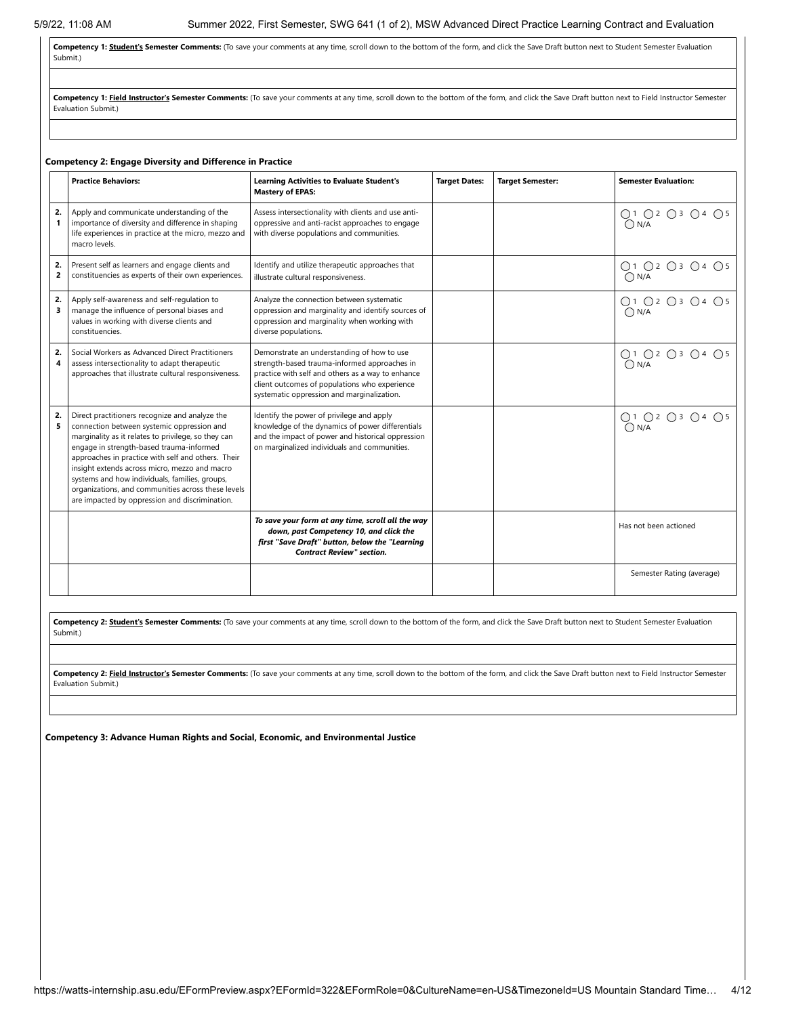Competency 1: **Student's Semester Comments:** (To save your comments at any time, scroll down to the bottom of the form, and click the Save Draft button next to Student Semester Evaluation Submit.)

Competency 1: Field Instructor's Semester Comments: (To save your comments at any time, scroll down to the bottom of the form, and click the Save Draft button next to Field Instructor Semester Evaluation Submit.)

### **Competency 2: Engage Diversity and Difference in Practice**

|                    | <b>Practice Behaviors:</b>                                                                                                                                                                                                                                                                                                                                                                                                                                       | <b>Learning Activities to Evaluate Student's</b><br><b>Mastery of EPAS:</b>                                                                                                                                                                    | <b>Target Dates:</b> | <b>Target Semester:</b> | <b>Semester Evaluation:</b> |
|--------------------|------------------------------------------------------------------------------------------------------------------------------------------------------------------------------------------------------------------------------------------------------------------------------------------------------------------------------------------------------------------------------------------------------------------------------------------------------------------|------------------------------------------------------------------------------------------------------------------------------------------------------------------------------------------------------------------------------------------------|----------------------|-------------------------|-----------------------------|
| 2.<br>$\mathbf{1}$ | Apply and communicate understanding of the<br>importance of diversity and difference in shaping<br>life experiences in practice at the micro, mezzo and<br>macro levels.                                                                                                                                                                                                                                                                                         | Assess intersectionality with clients and use anti-<br>oppressive and anti-racist approaches to engage<br>with diverse populations and communities.                                                                                            |                      |                         | 01 02 03 04 05<br>0N/A      |
| 2.<br>2            | Present self as learners and engage clients and<br>constituencies as experts of their own experiences.                                                                                                                                                                                                                                                                                                                                                           | Identify and utilize therapeutic approaches that<br>illustrate cultural responsiveness.                                                                                                                                                        |                      |                         | ○1 ○2 ○3 ○4 ○5<br>O N/A     |
| 2.<br>3            | Apply self-awareness and self-regulation to<br>manage the influence of personal biases and<br>values in working with diverse clients and<br>constituencies.                                                                                                                                                                                                                                                                                                      | Analyze the connection between systematic<br>oppression and marginality and identify sources of<br>oppression and marginality when working with<br>diverse populations.                                                                        |                      |                         | ○1 ○2 ○3 ○4 ○5<br>O N/A     |
| 2.<br>4            | Social Workers as Advanced Direct Practitioners<br>assess intersectionality to adapt therapeutic<br>approaches that illustrate cultural responsiveness.                                                                                                                                                                                                                                                                                                          | Demonstrate an understanding of how to use<br>strength-based trauma-informed approaches in<br>practice with self and others as a way to enhance<br>client outcomes of populations who experience<br>systematic oppression and marginalization. |                      |                         | 01 02 03 04 05<br>On/a      |
| 2.<br>5            | Direct practitioners recognize and analyze the<br>connection between systemic oppression and<br>marginality as it relates to privilege, so they can<br>engage in strength-based trauma-informed<br>approaches in practice with self and others. Their<br>insight extends across micro, mezzo and macro<br>systems and how individuals, families, groups,<br>organizations, and communities across these levels<br>are impacted by oppression and discrimination. | Identify the power of privilege and apply<br>knowledge of the dynamics of power differentials<br>and the impact of power and historical oppression<br>on marginalized individuals and communities.                                             |                      |                         | O1 O2 O3 O4 O5<br>ON/A      |
|                    |                                                                                                                                                                                                                                                                                                                                                                                                                                                                  | To save your form at any time, scroll all the way<br>down, past Competency 10, and click the<br>first "Save Draft" button, below the "Learning<br><b>Contract Review" section.</b>                                                             |                      |                         | Has not been actioned       |
|                    |                                                                                                                                                                                                                                                                                                                                                                                                                                                                  |                                                                                                                                                                                                                                                |                      |                         | Semester Rating (average)   |

Competency 2: **Student's Semester Comments:** (To save your comments at any time, scroll down to the bottom of the form, and click the Save Draft button next to Student Semester Evaluation Submit.)

Competency 2: Field Instructor's Semester Comments: (To save your comments at any time, scroll down to the bottom of the form, and click the Save Draft button next to Field Instructor Semester Evaluation Submit.)

**Competency 3: Advance Human Rights and Social, Economic, and Environmental Justice**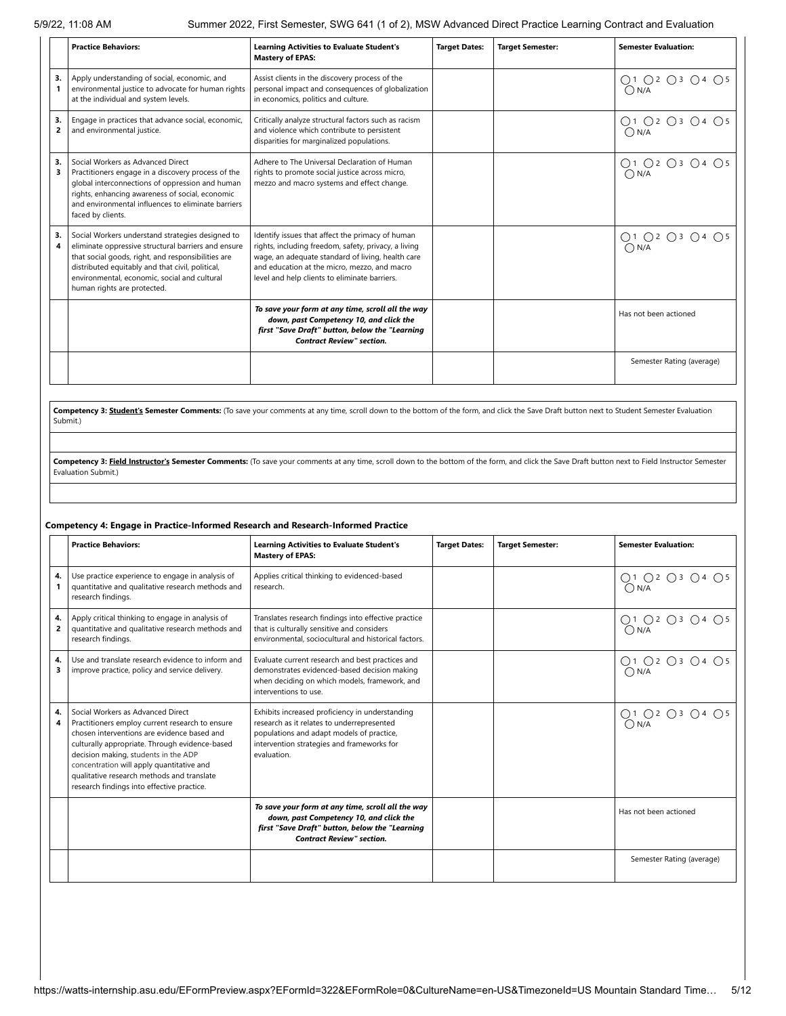|                      | <b>Practice Behaviors:</b>                                                                                                                                                                                                                                                                       | <b>Learning Activities to Evaluate Student's</b><br><b>Mastery of EPAS:</b>                                                                                                                                                                                    | <b>Target Dates:</b> | <b>Target Semester:</b> | <b>Semester Evaluation:</b> |
|----------------------|--------------------------------------------------------------------------------------------------------------------------------------------------------------------------------------------------------------------------------------------------------------------------------------------------|----------------------------------------------------------------------------------------------------------------------------------------------------------------------------------------------------------------------------------------------------------------|----------------------|-------------------------|-----------------------------|
| 3.                   | Apply understanding of social, economic, and<br>environmental justice to advocate for human rights<br>at the individual and system levels.                                                                                                                                                       | Assist clients in the discovery process of the<br>personal impact and consequences of globalization<br>in economics, politics and culture.                                                                                                                     |                      |                         | ○1 ○2 ○3 ○4 ○5<br>O N/A     |
| 3.<br>$\overline{a}$ | Engage in practices that advance social, economic,<br>and environmental justice.                                                                                                                                                                                                                 | Critically analyze structural factors such as racism<br>and violence which contribute to persistent<br>disparities for marginalized populations.                                                                                                               |                      |                         | Q1 Q2 Q3 Q4 Q5<br>O N/A     |
| 3.<br>3              | Social Workers as Advanced Direct<br>Practitioners engage in a discovery process of the<br>global interconnections of oppression and human<br>rights, enhancing awareness of social, economic<br>and environmental influences to eliminate barriers<br>faced by clients.                         | Adhere to The Universal Declaration of Human<br>rights to promote social justice across micro,<br>mezzo and macro systems and effect change.                                                                                                                   |                      |                         | ○1 ○2 ○3 ○4 ○5<br>O N/A     |
| З.                   | Social Workers understand strategies designed to<br>eliminate oppressive structural barriers and ensure<br>that social goods, right, and responsibilities are<br>distributed equitably and that civil, political,<br>environmental, economic, social and cultural<br>human rights are protected. | Identify issues that affect the primacy of human<br>rights, including freedom, safety, privacy, a living<br>wage, an adequate standard of living, health care<br>and education at the micro, mezzo, and macro<br>level and help clients to eliminate barriers. |                      |                         | 01 02 03 04 05<br>0N/A      |
|                      |                                                                                                                                                                                                                                                                                                  | To save your form at any time, scroll all the way<br>down, past Competency 10, and click the<br>first "Save Draft" button, below the "Learning<br><b>Contract Review" section.</b>                                                                             |                      |                         | Has not been actioned       |
|                      |                                                                                                                                                                                                                                                                                                  |                                                                                                                                                                                                                                                                |                      |                         | Semester Rating (average)   |

Competency 3: **Student's Semester Comments:** (To save your comments at any time, scroll down to the bottom of the form, and click the Save Draft button next to Student Semester Evaluation Submit.)

Competency 3: Field Instructor's Semester Comments: (To save your comments at any time, scroll down to the bottom of the form, and click the Save Draft button next to Field Instructor Semester Evaluation Submit.)

#### **Competency 4: Engage in Practice-Informed Research and Research-Informed Practice**

|                      | <b>Practice Behaviors:</b>                                                                                                                                                                                                                                                                                                                                             | <b>Learning Activities to Evaluate Student's</b><br><b>Mastery of EPAS:</b>                                                                                                                             | <b>Target Dates:</b> | <b>Target Semester:</b> | <b>Semester Evaluation:</b>     |
|----------------------|------------------------------------------------------------------------------------------------------------------------------------------------------------------------------------------------------------------------------------------------------------------------------------------------------------------------------------------------------------------------|---------------------------------------------------------------------------------------------------------------------------------------------------------------------------------------------------------|----------------------|-------------------------|---------------------------------|
| 4.                   | Use practice experience to engage in analysis of<br>quantitative and qualitative research methods and<br>research findings.                                                                                                                                                                                                                                            | Applies critical thinking to evidenced-based<br>research.                                                                                                                                               |                      |                         | ○1 ○2 ○3 ○4 ○5<br>$\bigcap N/A$ |
| 4.<br>$\overline{2}$ | Apply critical thinking to engage in analysis of<br>quantitative and qualitative research methods and<br>research findings.                                                                                                                                                                                                                                            | Translates research findings into effective practice<br>that is culturally sensitive and considers<br>environmental, sociocultural and historical factors.                                              |                      |                         | ○1 ○2 ○3 ○4 ○5<br>$\bigcap N/A$ |
| 4.<br>3              | Use and translate research evidence to inform and<br>improve practice, policy and service delivery.                                                                                                                                                                                                                                                                    | Evaluate current research and best practices and<br>demonstrates evidenced-based decision making<br>when deciding on which models, framework, and<br>interventions to use.                              |                      |                         | ○1 ○2 ○3 ○4 ○5<br>$\bigcap N/A$ |
| 4.<br>4              | Social Workers as Advanced Direct<br>Practitioners employ current research to ensure<br>chosen interventions are evidence based and<br>culturally appropriate. Through evidence-based<br>decision making, students in the ADP<br>concentration will apply quantitative and<br>qualitative research methods and translate<br>research findings into effective practice. | Exhibits increased proficiency in understanding<br>research as it relates to underrepresented<br>populations and adapt models of practice,<br>intervention strategies and frameworks for<br>evaluation. |                      |                         | O1 O2 O3 O4 O5<br>O N/A         |
|                      |                                                                                                                                                                                                                                                                                                                                                                        | To save your form at any time, scroll all the way<br>down, past Competency 10, and click the<br>first "Save Draft" button, below the "Learning<br><b>Contract Review" section.</b>                      |                      |                         | Has not been actioned           |
|                      |                                                                                                                                                                                                                                                                                                                                                                        |                                                                                                                                                                                                         |                      |                         | Semester Rating (average)       |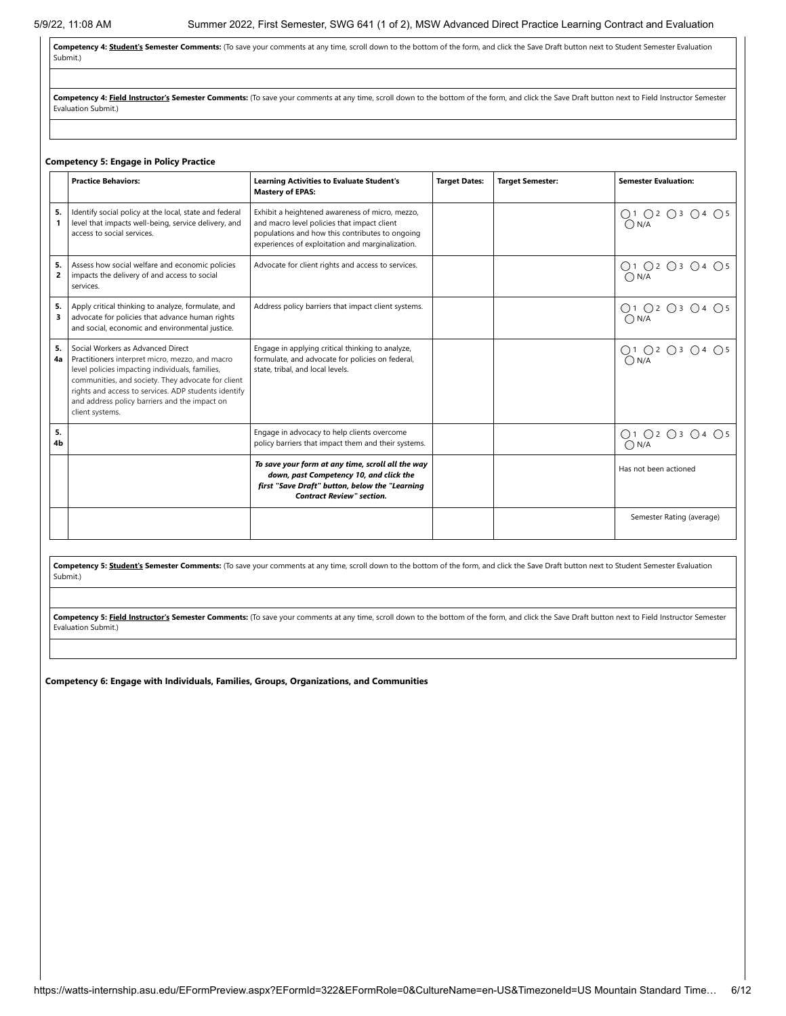**Competency 4: Student's Semester Comments:** (To save your comments at any time, scroll down to the bottom of the form, and click the Save Draft button next to Student Semester Evaluation Submit.)

Competency 4: Field Instructor's Semester Comments: (To save your comments at any time, scroll down to the bottom of the form, and click the Save Draft button next to Field Instructor Semester Evaluation Submit.)

#### **Competency 5: Engage in Policy Practice**

|                      | <b>Practice Behaviors:</b>                                                                                                                                                                                                                                                                                                | <b>Learning Activities to Evaluate Student's</b><br><b>Mastery of EPAS:</b>                                                                                                                           | <b>Target Dates:</b> | <b>Target Semester:</b> | <b>Semester Evaluation:</b>     |
|----------------------|---------------------------------------------------------------------------------------------------------------------------------------------------------------------------------------------------------------------------------------------------------------------------------------------------------------------------|-------------------------------------------------------------------------------------------------------------------------------------------------------------------------------------------------------|----------------------|-------------------------|---------------------------------|
| 5.<br>1              | Identify social policy at the local, state and federal<br>level that impacts well-being, service delivery, and<br>access to social services.                                                                                                                                                                              | Exhibit a heightened awareness of micro, mezzo,<br>and macro level policies that impact client<br>populations and how this contributes to ongoing<br>experiences of exploitation and marginalization. |                      |                         | ○1 ○2 ○3 ○4 ○5<br>ON/A          |
| 5.<br>$\overline{2}$ | Assess how social welfare and economic policies<br>impacts the delivery of and access to social<br>services.                                                                                                                                                                                                              | Advocate for client rights and access to services.                                                                                                                                                    |                      |                         | ○1 ○2 ○3 ○4 ○5<br>$\bigcap N/A$ |
| 5.<br>3              | Apply critical thinking to analyze, formulate, and<br>advocate for policies that advance human rights<br>and social, economic and environmental justice.                                                                                                                                                                  | Address policy barriers that impact client systems.                                                                                                                                                   |                      |                         | ○1 ○2 ○3 ○4 ○5<br>O N/A         |
| 5.<br>4a             | Social Workers as Advanced Direct<br>Practitioners interpret micro, mezzo, and macro<br>level policies impacting individuals, families,<br>communities, and society. They advocate for client<br>rights and access to services. ADP students identify<br>and address policy barriers and the impact on<br>client systems. | Engage in applying critical thinking to analyze,<br>formulate, and advocate for policies on federal,<br>state, tribal, and local levels.                                                              |                      |                         | 01 02 03 04 05<br>0N/A          |
| 5.<br>4b             |                                                                                                                                                                                                                                                                                                                           | Engage in advocacy to help clients overcome<br>policy barriers that impact them and their systems.                                                                                                    |                      |                         | O1 O2 O3 O4 O5<br>$\bigcap N/A$ |
|                      |                                                                                                                                                                                                                                                                                                                           | To save your form at any time, scroll all the way<br>down, past Competency 10, and click the<br>first "Save Draft" button, below the "Learning<br><b>Contract Review" section.</b>                    |                      |                         | Has not been actioned           |
|                      |                                                                                                                                                                                                                                                                                                                           |                                                                                                                                                                                                       |                      |                         | Semester Rating (average)       |

Competency 5: Student's Semester Comments: (To save your comments at any time, scroll down to the bottom of the form, and click the Save Draft button next to Student Semester Evaluation Submit.)

Competency 5: Field Instructor's Semester Comments: (To save your comments at any time, scroll down to the bottom of the form, and click the Save Draft button next to Field Instructor Semester Evaluation Submit.)

**Competency 6: Engage with Individuals, Families, Groups, Organizations, and Communities**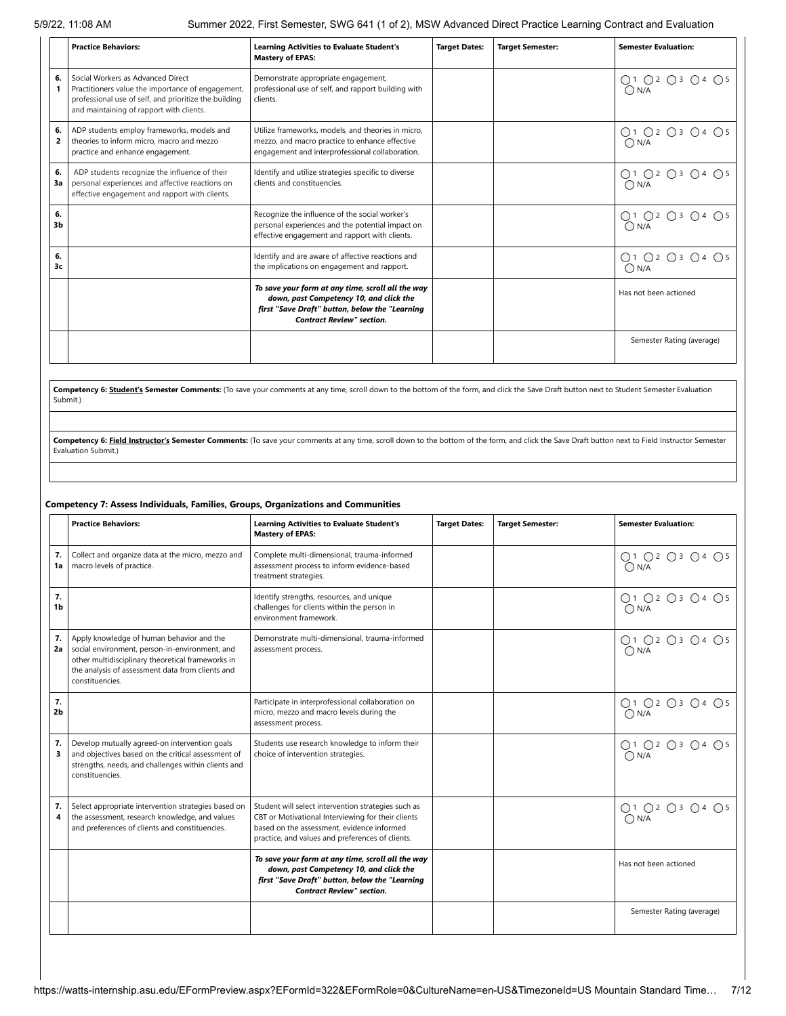|                      | <b>Practice Behaviors:</b>                                                                                                                                                                  | <b>Learning Activities to Evaluate Student's</b><br><b>Mastery of EPAS:</b>                                                                                                        | <b>Target Dates:</b> | <b>Target Semester:</b> | <b>Semester Evaluation:</b>     |
|----------------------|---------------------------------------------------------------------------------------------------------------------------------------------------------------------------------------------|------------------------------------------------------------------------------------------------------------------------------------------------------------------------------------|----------------------|-------------------------|---------------------------------|
| 6.                   | Social Workers as Advanced Direct<br>Practitioners value the importance of engagement,<br>professional use of self, and prioritize the building<br>and maintaining of rapport with clients. | Demonstrate appropriate engagement,<br>professional use of self, and rapport building with<br>clients.                                                                             |                      |                         | ○1 ○2 ○3 ○4 ○5<br>$\bigcap N/A$ |
| 6.<br>2              | ADP students employ frameworks, models and<br>theories to inform micro, macro and mezzo<br>practice and enhance engagement.                                                                 | Utilize frameworks, models, and theories in micro.<br>mezzo, and macro practice to enhance effective<br>engagement and interprofessional collaboration.                            |                      |                         | ○1 ○2 ○3 ○4 ○5<br>$\bigcap N/A$ |
| 6.<br>3a             | ADP students recognize the influence of their<br>personal experiences and affective reactions on<br>effective engagement and rapport with clients.                                          | Identify and utilize strategies specific to diverse<br>clients and constituencies.                                                                                                 |                      |                         | Q1 Q2 Q3 Q4 Q5<br>$\bigcap N/A$ |
| 6.<br>3 <sub>b</sub> |                                                                                                                                                                                             | Recognize the influence of the social worker's<br>personal experiences and the potential impact on<br>effective engagement and rapport with clients.                               |                      |                         | ○1 ○2 ○3 ○4 ○5<br>$\bigcap N/A$ |
| 6.<br>3c             |                                                                                                                                                                                             | Identify and are aware of affective reactions and<br>the implications on engagement and rapport.                                                                                   |                      |                         | ○1 ○2 ○3 ○4 ○5<br>$\bigcap N/A$ |
|                      |                                                                                                                                                                                             | To save your form at any time, scroll all the way<br>down, past Competency 10, and click the<br>first "Save Draft" button, below the "Learning<br><b>Contract Review" section.</b> |                      |                         | Has not been actioned           |
|                      |                                                                                                                                                                                             |                                                                                                                                                                                    |                      |                         | Semester Rating (average)       |

Competency 6: Student's Semester Comments: (To save your comments at any time, scroll down to the bottom of the form, and click the Save Draft button next to Student Semester Evaluation Submit.)

Competency 6: Field Instructor's Semester Comments: (To save your comments at any time, scroll down to the bottom of the form, and click the Save Draft button next to Field Instructor Semester Evaluation Submit.)

#### **Competency 7: Assess Individuals, Families, Groups, Organizations and Communities**

|                      | <b>Practice Behaviors:</b>                                                                                                                                                                                              | <b>Learning Activities to Evaluate Student's</b><br><b>Mastery of EPAS:</b>                                                                                                                                 | <b>Target Dates:</b> | <b>Target Semester:</b> | <b>Semester Evaluation:</b>          |
|----------------------|-------------------------------------------------------------------------------------------------------------------------------------------------------------------------------------------------------------------------|-------------------------------------------------------------------------------------------------------------------------------------------------------------------------------------------------------------|----------------------|-------------------------|--------------------------------------|
| 7.<br>1a             | Collect and organize data at the micro, mezzo and<br>macro levels of practice.                                                                                                                                          | Complete multi-dimensional, trauma-informed<br>assessment process to inform evidence-based<br>treatment strategies.                                                                                         |                      |                         | ○1 ○2 ○3 ○4 ○5<br>$\overline{O}$ N/A |
| 7.<br>1 <sub>b</sub> |                                                                                                                                                                                                                         | Identify strengths, resources, and unique<br>challenges for clients within the person in<br>environment framework.                                                                                          |                      |                         | ○1 ○2 ○3 ○4 ○5<br>$\bigcap N/A$      |
| 7.<br>2a             | Apply knowledge of human behavior and the<br>social environment, person-in-environment, and<br>other multidisciplinary theoretical frameworks in<br>the analysis of assessment data from clients and<br>constituencies. | Demonstrate multi-dimensional, trauma-informed<br>assessment process.                                                                                                                                       |                      |                         | ○1 ○2 ○3 ○4 ○5<br>$\overline{O}$ N/A |
| 7.<br>2 <sub>b</sub> |                                                                                                                                                                                                                         | Participate in interprofessional collaboration on<br>micro, mezzo and macro levels during the<br>assessment process.                                                                                        |                      |                         | ○1 ○2 ○3 ○4 ○5<br>$\bigcap N/A$      |
| 7.<br>3              | Develop mutually agreed-on intervention goals<br>and objectives based on the critical assessment of<br>strengths, needs, and challenges within clients and<br>constituencies.                                           | Students use research knowledge to inform their<br>choice of intervention strategies.                                                                                                                       |                      |                         | ○1 ○2 ○3 ○4 ○5<br>$\bigcap N/A$      |
| 7.<br>4              | Select appropriate intervention strategies based on<br>the assessment, research knowledge, and values<br>and preferences of clients and constituencies.                                                                 | Student will select intervention strategies such as<br>CBT or Motivational Interviewing for their clients<br>based on the assessment, evidence informed<br>practice, and values and preferences of clients. |                      |                         | ○1 ○2 ○3 ○4 ○5<br>$\bigcap N/A$      |
|                      |                                                                                                                                                                                                                         | To save your form at any time, scroll all the way<br>down, past Competency 10, and click the<br>first "Save Draft" button, below the "Learning<br><b>Contract Review" section.</b>                          |                      |                         | Has not been actioned                |
|                      |                                                                                                                                                                                                                         |                                                                                                                                                                                                             |                      |                         | Semester Rating (average)            |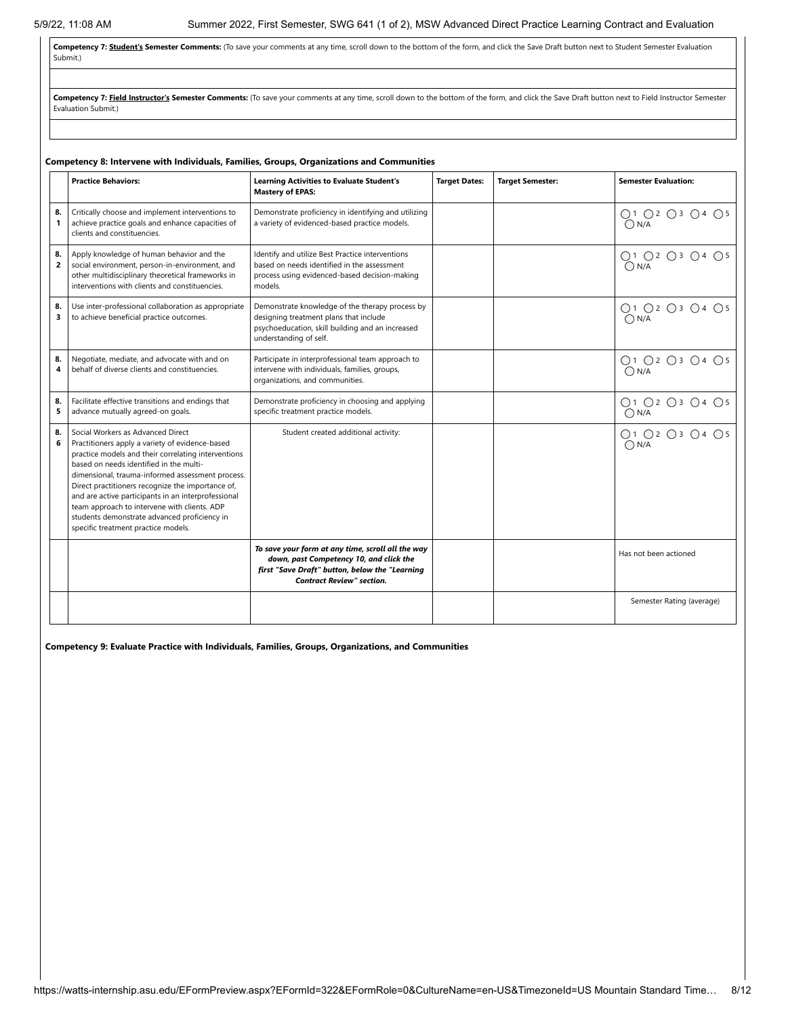Competency 7: **Student's Semester Comments:** (To save your comments at any time, scroll down to the bottom of the form, and click the Save Draft button next to Student Semester Evaluation Submit.)

Competency 7: Field Instructor's Semester Comments: (To save your comments at any time, scroll down to the bottom of the form, and click the Save Draft button next to Field Instructor Semester Evaluation Submit.)

|                      | <b>Practice Behaviors:</b>                                                                                                                                                                                                                                                                                                                                                                                                                                                                    | <b>Learning Activities to Evaluate Student's</b><br><b>Mastery of EPAS:</b>                                                                                                        | <b>Target Dates:</b> | <b>Target Semester:</b> | <b>Semester Evaluation:</b>          |
|----------------------|-----------------------------------------------------------------------------------------------------------------------------------------------------------------------------------------------------------------------------------------------------------------------------------------------------------------------------------------------------------------------------------------------------------------------------------------------------------------------------------------------|------------------------------------------------------------------------------------------------------------------------------------------------------------------------------------|----------------------|-------------------------|--------------------------------------|
| 8.<br>$\mathbf{1}$   | Critically choose and implement interventions to<br>achieve practice goals and enhance capacities of<br>clients and constituencies.                                                                                                                                                                                                                                                                                                                                                           | Demonstrate proficiency in identifying and utilizing<br>a variety of evidenced-based practice models.                                                                              |                      |                         | ○1 ○2 ○3 ○4 ○5<br>$\bigcap N/A$      |
| 8.<br>$\overline{2}$ | Apply knowledge of human behavior and the<br>social environment, person-in-environment, and<br>other multidisciplinary theoretical frameworks in<br>interventions with clients and constituencies.                                                                                                                                                                                                                                                                                            | Identify and utilize Best Practice interventions<br>based on needs identified in the assessment<br>process using evidenced-based decision-making<br>models.                        |                      |                         | ○1 ○2 ○3 ○4 ○5<br>$\bigcap N/A$      |
| 8.<br>3              | Use inter-professional collaboration as appropriate<br>to achieve beneficial practice outcomes.                                                                                                                                                                                                                                                                                                                                                                                               | Demonstrate knowledge of the therapy process by<br>designing treatment plans that include<br>psychoeducation, skill building and an increased<br>understanding of self.            |                      |                         | ○1 ○2 ○3 ○4 ○5<br>O N/A              |
| 8.<br>4              | Negotiate, mediate, and advocate with and on<br>behalf of diverse clients and constituencies.                                                                                                                                                                                                                                                                                                                                                                                                 | Participate in interprofessional team approach to<br>intervene with individuals, families, groups,<br>organizations, and communities.                                              |                      |                         | ○1 ○2 ○3 ○4 ○5<br>O N/A              |
| 8.<br>5              | Facilitate effective transitions and endings that<br>advance mutually agreed-on goals.                                                                                                                                                                                                                                                                                                                                                                                                        | Demonstrate proficiency in choosing and applying<br>specific treatment practice models.                                                                                            |                      |                         | ○1 ○2 ○3 ○4 ○5<br>$\overline{O}$ N/A |
| 8.<br>6              | Social Workers as Advanced Direct<br>Practitioners apply a variety of evidence-based<br>practice models and their correlating interventions<br>based on needs identified in the multi-<br>dimensional, trauma-informed assessment process.<br>Direct practitioners recognize the importance of,<br>and are active participants in an interprofessional<br>team approach to intervene with clients. ADP<br>students demonstrate advanced proficiency in<br>specific treatment practice models. | Student created additional activity:                                                                                                                                               |                      |                         | ○1 ○2 ○3 ○4 ○5<br>$\bigcap N/A$      |
|                      |                                                                                                                                                                                                                                                                                                                                                                                                                                                                                               | To save your form at any time, scroll all the way<br>down, past Competency 10, and click the<br>first "Save Draft" button, below the "Learning<br><b>Contract Review" section.</b> |                      |                         | Has not been actioned                |
|                      |                                                                                                                                                                                                                                                                                                                                                                                                                                                                                               |                                                                                                                                                                                    |                      |                         | Semester Rating (average)            |

#### **Competency 8: Intervene with Individuals, Families, Groups, Organizations and Communities**

**Competency 9: Evaluate Practice with Individuals, Families, Groups, Organizations, and Communities**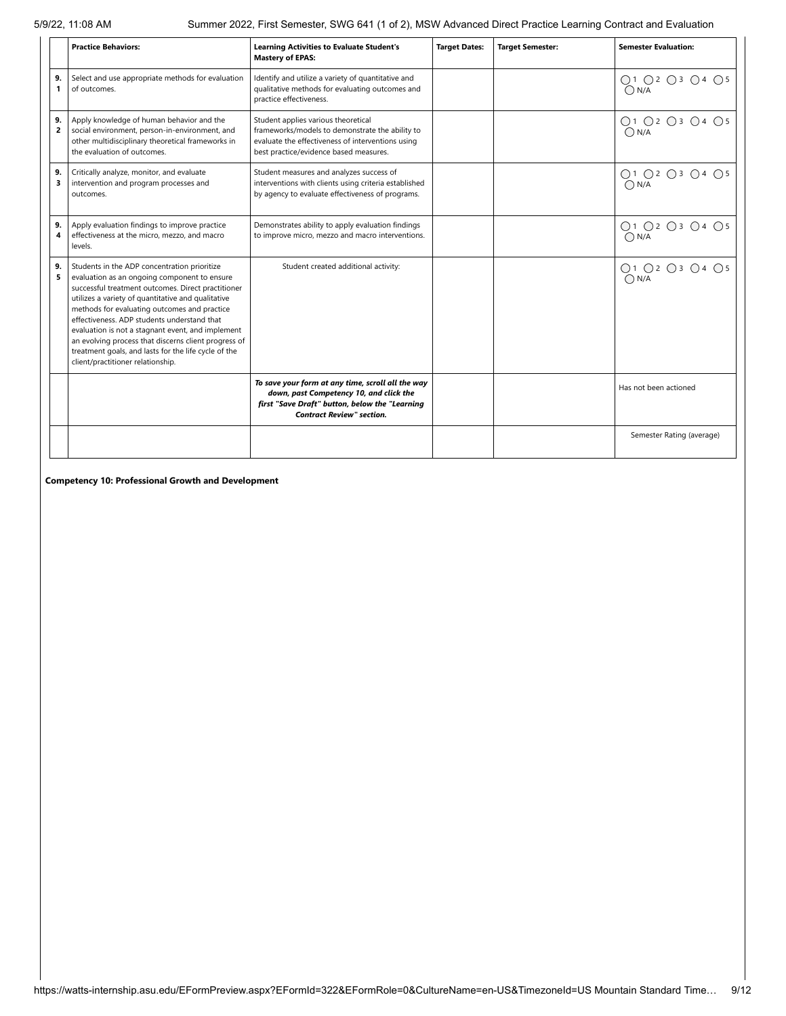|                      | <b>Practice Behaviors:</b>                                                                                                                                                                                                                                                                                                                                                                                                                                                                                        | <b>Learning Activities to Evaluate Student's</b><br><b>Mastery of EPAS:</b>                                                                                                           | <b>Target Dates:</b> | <b>Target Semester:</b> | <b>Semester Evaluation:</b>     |
|----------------------|-------------------------------------------------------------------------------------------------------------------------------------------------------------------------------------------------------------------------------------------------------------------------------------------------------------------------------------------------------------------------------------------------------------------------------------------------------------------------------------------------------------------|---------------------------------------------------------------------------------------------------------------------------------------------------------------------------------------|----------------------|-------------------------|---------------------------------|
| 9.<br>$\mathbf{1}$   | Select and use appropriate methods for evaluation<br>of outcomes.                                                                                                                                                                                                                                                                                                                                                                                                                                                 | Identify and utilize a variety of quantitative and<br>qualitative methods for evaluating outcomes and<br>practice effectiveness.                                                      |                      |                         | ○1 ○2 ○3 ○4 ○5<br>$\bigcap N/A$ |
| 9.<br>$\overline{2}$ | Apply knowledge of human behavior and the<br>social environment, person-in-environment, and<br>other multidisciplinary theoretical frameworks in<br>the evaluation of outcomes.                                                                                                                                                                                                                                                                                                                                   | Student applies various theoretical<br>frameworks/models to demonstrate the ability to<br>evaluate the effectiveness of interventions using<br>best practice/evidence based measures. |                      |                         | ○1 ○2 ○3 ○4 ○5<br>O N/A         |
| 9.<br>3              | Critically analyze, monitor, and evaluate<br>intervention and program processes and<br>outcomes.                                                                                                                                                                                                                                                                                                                                                                                                                  | Student measures and analyzes success of<br>interventions with clients using criteria established<br>by agency to evaluate effectiveness of programs.                                 |                      |                         | ○1 ○2 ○3 ○4 ○5<br>$\bigcap N/A$ |
| 9.<br>4              | Apply evaluation findings to improve practice<br>effectiveness at the micro, mezzo, and macro<br>levels.                                                                                                                                                                                                                                                                                                                                                                                                          | Demonstrates ability to apply evaluation findings<br>to improve micro, mezzo and macro interventions.                                                                                 |                      |                         | ○1 ○2 ○3 ○4 ○5<br>$\bigcap N/A$ |
| 9.<br>5              | Students in the ADP concentration prioritize<br>evaluation as an ongoing component to ensure<br>successful treatment outcomes. Direct practitioner<br>utilizes a variety of quantitative and qualitative<br>methods for evaluating outcomes and practice<br>effectiveness. ADP students understand that<br>evaluation is not a stagnant event, and implement<br>an evolving process that discerns client progress of<br>treatment goals, and lasts for the life cycle of the<br>client/practitioner relationship. | Student created additional activity:                                                                                                                                                  |                      |                         | ○1 ○2 ○3 ○4 ○5<br>$\bigcap N/A$ |
|                      |                                                                                                                                                                                                                                                                                                                                                                                                                                                                                                                   | To save your form at any time, scroll all the way<br>down, past Competency 10, and click the<br>first "Save Draft" button, below the "Learning<br><b>Contract Review" section.</b>    |                      |                         | Has not been actioned           |
|                      |                                                                                                                                                                                                                                                                                                                                                                                                                                                                                                                   |                                                                                                                                                                                       |                      |                         | Semester Rating (average)       |

**Competency 10: Professional Growth and Development**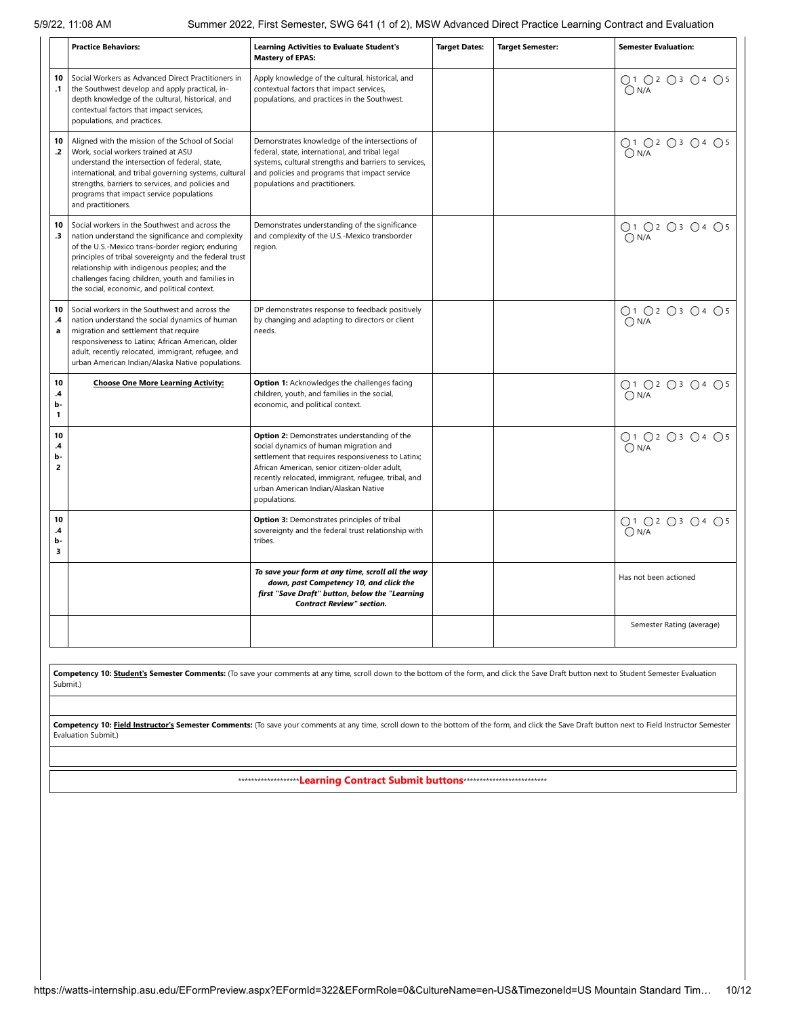|                                           | <b>Practice Behaviors:</b>                                                                                                                                                                                                                                                                                                                                              | <b>Learning Activities to Evaluate Student's</b><br><b>Mastery of EPAS:</b>                                                                                                                                                                                                                                 | <b>Target Dates:</b> | <b>Target Semester:</b> | <b>Semester Evaluation:</b>     |
|-------------------------------------------|-------------------------------------------------------------------------------------------------------------------------------------------------------------------------------------------------------------------------------------------------------------------------------------------------------------------------------------------------------------------------|-------------------------------------------------------------------------------------------------------------------------------------------------------------------------------------------------------------------------------------------------------------------------------------------------------------|----------------------|-------------------------|---------------------------------|
| 10<br>$\cdot$ 1                           | Social Workers as Advanced Direct Practitioners in<br>the Southwest develop and apply practical, in-<br>depth knowledge of the cultural, historical, and<br>contextual factors that impact services,<br>populations, and practices.                                                                                                                                     | Apply knowledge of the cultural, historical, and<br>contextual factors that impact services,<br>populations, and practices in the Southwest.                                                                                                                                                                |                      |                         | ○1 ○2 ○3 ○4 ○5<br>$\bigcap N/A$ |
| 10<br>$\cdot$                             | Aligned with the mission of the School of Social<br>Work, social workers trained at ASU<br>understand the intersection of federal, state,<br>international, and tribal governing systems, cultural<br>strengths, barriers to services, and policies and<br>programs that impact service populations<br>and practitioners.                                               | Demonstrates knowledge of the intersections of<br>federal, state, international, and tribal legal<br>systems, cultural strengths and barriers to services,<br>and policies and programs that impact service<br>populations and practitioners.                                                               |                      |                         | ○1 ○2 ○3 ○4 ○5<br>$\bigcap N/A$ |
| 10<br>$\cdot$ 3                           | Social workers in the Southwest and across the<br>nation understand the significance and complexity<br>of the U.S.-Mexico trans-border region; enduring<br>principles of tribal sovereignty and the federal trust<br>relationship with indigenous peoples; and the<br>challenges facing children, youth and families in<br>the social, economic, and political context. | Demonstrates understanding of the significance<br>and complexity of the U.S.-Mexico transborder<br>region.                                                                                                                                                                                                  |                      |                         | ○1 ○2 ○3 ○4 ○5<br>$\bigcap N/A$ |
| 10<br>.4<br>a                             | Social workers in the Southwest and across the<br>nation understand the social dynamics of human<br>migration and settlement that require<br>responsiveness to Latinx; African American, older<br>adult, recently relocated, immigrant, refugee, and<br>urban American Indian/Alaska Native populations.                                                                | DP demonstrates response to feedback positively<br>by changing and adapting to directors or client<br>needs.                                                                                                                                                                                                |                      |                         | ○1 ○2 ○3 ○4 ○5<br>$\bigcap N/A$ |
| 10<br>$\mathbf{.4}$<br>b-<br>$\mathbf{1}$ | <b>Choose One More Learning Activity:</b>                                                                                                                                                                                                                                                                                                                               | Option 1: Acknowledges the challenges facing<br>children, youth, and families in the social,<br>economic, and political context.                                                                                                                                                                            |                      |                         | ○1 ○2 ○3 ○4 ○5<br>$\bigcap N/A$ |
| 10<br>.4<br>b-<br>$\overline{2}$          |                                                                                                                                                                                                                                                                                                                                                                         | Option 2: Demonstrates understanding of the<br>social dynamics of human migration and<br>settlement that requires responsiveness to Latinx;<br>African American, senior citizen-older adult,<br>recently relocated, immigrant, refugee, tribal, and<br>urban American Indian/Alaskan Native<br>populations. |                      |                         | ○1 ○2 ○3 ○4 ○5<br>$\bigcap N/A$ |
| 10<br>.4<br>b-<br>з                       |                                                                                                                                                                                                                                                                                                                                                                         | Option 3: Demonstrates principles of tribal<br>sovereignty and the federal trust relationship with<br>tribes.                                                                                                                                                                                               |                      |                         | ○1 ○2 ○3 ○4 ○5<br>$\bigcap N/A$ |
|                                           |                                                                                                                                                                                                                                                                                                                                                                         | To save your form at any time, scroll all the way<br>down, past Competency 10, and click the<br>first "Save Draft" button, below the "Learning<br><b>Contract Review" section.</b>                                                                                                                          |                      |                         | Has not been actioned           |
|                                           |                                                                                                                                                                                                                                                                                                                                                                         |                                                                                                                                                                                                                                                                                                             |                      |                         | Semester Rating (average)       |

Competency 10: Student's Semester Comments: (To save your comments at any time, scroll down to the bottom of the form, and click the Save Draft button next to Student Semester Evaluation Submit.)

Competency 10: Field Instructor's Semester Comments: (To save your comments at any time, scroll down to the bottom of the form, and click the Save Draft button next to Field Instructor Semester Evaluation Submit.)

\*\*\*\*\*\*\*\*\*\*\*\*\*\*\*\*\*\*\***Learning Contract Submit buttons**\*\*\*\*\*\*\*\*\*\*\*\*\*\*\*\*\*\*\*\*\*\*\*\*\*\*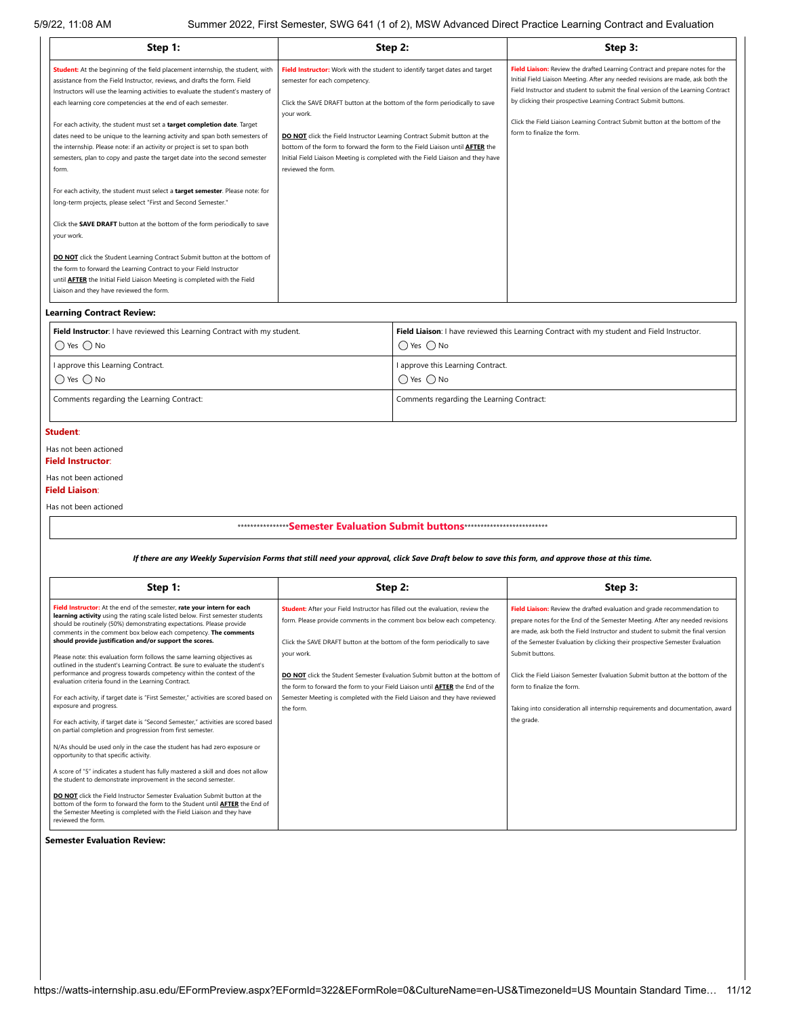| Step 1:                                                                                                                                                                                                                                                                                                                                                                                                                                                                                                                                                                                                                                                                                                                                                                                                                                                                                                                                                                                                                                                                                                                                                                                    | Step 2:                                                                                                                                                                                                                                                                                                                                                                                                                                                                             |                                                                                                                                                                                                | Step 3:                                                                                                                                                                                                                                                                                                                                                                                                                                 |  |  |  |  |
|--------------------------------------------------------------------------------------------------------------------------------------------------------------------------------------------------------------------------------------------------------------------------------------------------------------------------------------------------------------------------------------------------------------------------------------------------------------------------------------------------------------------------------------------------------------------------------------------------------------------------------------------------------------------------------------------------------------------------------------------------------------------------------------------------------------------------------------------------------------------------------------------------------------------------------------------------------------------------------------------------------------------------------------------------------------------------------------------------------------------------------------------------------------------------------------------|-------------------------------------------------------------------------------------------------------------------------------------------------------------------------------------------------------------------------------------------------------------------------------------------------------------------------------------------------------------------------------------------------------------------------------------------------------------------------------------|------------------------------------------------------------------------------------------------------------------------------------------------------------------------------------------------|-----------------------------------------------------------------------------------------------------------------------------------------------------------------------------------------------------------------------------------------------------------------------------------------------------------------------------------------------------------------------------------------------------------------------------------------|--|--|--|--|
| Student: At the beginning of the field placement internship, the student, with<br>assistance from the Field Instructor, reviews, and drafts the form. Field<br>Instructors will use the learning activities to evaluate the student's mastery of<br>each learning core competencies at the end of each semester.<br>For each activity, the student must set a target completion date. Target<br>dates need to be unique to the learning activity and span both semesters of<br>the internship. Please note: if an activity or project is set to span both<br>semesters, plan to copy and paste the target date into the second semester<br>form.<br>For each activity, the student must select a target semester. Please note: for<br>long-term projects, please select "First and Second Semester."<br>Click the SAVE DRAFT button at the bottom of the form periodically to save<br>your work.<br><b>DO NOT</b> click the Student Learning Contract Submit button at the bottom of<br>the form to forward the Learning Contract to your Field Instructor<br>until <b>AFTER</b> the Initial Field Liaison Meeting is completed with the Field<br>Liaison and they have reviewed the form. | Field Instructor: Work with the student to identify target dates and target<br>semester for each competency.<br>Click the SAVE DRAFT button at the bottom of the form periodically to save<br>your work.<br>DO NOT click the Field Instructor Learning Contract Submit button at the<br>bottom of the form to forward the form to the Field Liaison until <b>AFTER</b> the<br>Initial Field Liaison Meeting is completed with the Field Liaison and they have<br>reviewed the form. |                                                                                                                                                                                                | Field Liaison: Review the drafted Learning Contract and prepare notes for the<br>Initial Field Liaison Meeting. After any needed revisions are made, ask both the<br>Field Instructor and student to submit the final version of the Learning Contract<br>by clicking their prospective Learning Contract Submit buttons.<br>Click the Field Liaison Learning Contract Submit button at the bottom of the<br>form to finalize the form. |  |  |  |  |
| <b>Learning Contract Review:</b>                                                                                                                                                                                                                                                                                                                                                                                                                                                                                                                                                                                                                                                                                                                                                                                                                                                                                                                                                                                                                                                                                                                                                           |                                                                                                                                                                                                                                                                                                                                                                                                                                                                                     |                                                                                                                                                                                                |                                                                                                                                                                                                                                                                                                                                                                                                                                         |  |  |  |  |
| Field Instructor: I have reviewed this Learning Contract with my student.<br>$\bigcap$ Yes $\bigcap$ No<br>I approve this Learning Contract.<br>$\bigcirc$ Yes $\bigcirc$ No                                                                                                                                                                                                                                                                                                                                                                                                                                                                                                                                                                                                                                                                                                                                                                                                                                                                                                                                                                                                               |                                                                                                                                                                                                                                                                                                                                                                                                                                                                                     | Field Liaison: I have reviewed this Learning Contract with my student and Field Instructor.<br>$\bigcap$ Yes $\bigcap$ No<br>I approve this Learning Contract.<br>$\bigcirc$ Yes $\bigcirc$ No |                                                                                                                                                                                                                                                                                                                                                                                                                                         |  |  |  |  |
| Comments regarding the Learning Contract:                                                                                                                                                                                                                                                                                                                                                                                                                                                                                                                                                                                                                                                                                                                                                                                                                                                                                                                                                                                                                                                                                                                                                  |                                                                                                                                                                                                                                                                                                                                                                                                                                                                                     | Comments regarding the Learning Contract:                                                                                                                                                      |                                                                                                                                                                                                                                                                                                                                                                                                                                         |  |  |  |  |
| Student:<br>Has not been actioned                                                                                                                                                                                                                                                                                                                                                                                                                                                                                                                                                                                                                                                                                                                                                                                                                                                                                                                                                                                                                                                                                                                                                          |                                                                                                                                                                                                                                                                                                                                                                                                                                                                                     |                                                                                                                                                                                                |                                                                                                                                                                                                                                                                                                                                                                                                                                         |  |  |  |  |
| <b>Field Instructor:</b><br>Has not been actioned<br><b>Field Liaison:</b><br>Has not been actioned                                                                                                                                                                                                                                                                                                                                                                                                                                                                                                                                                                                                                                                                                                                                                                                                                                                                                                                                                                                                                                                                                        |                                                                                                                                                                                                                                                                                                                                                                                                                                                                                     |                                                                                                                                                                                                |                                                                                                                                                                                                                                                                                                                                                                                                                                         |  |  |  |  |
|                                                                                                                                                                                                                                                                                                                                                                                                                                                                                                                                                                                                                                                                                                                                                                                                                                                                                                                                                                                                                                                                                                                                                                                            | ****************Semester Evaluation Submit buttons ****************************                                                                                                                                                                                                                                                                                                                                                                                                     |                                                                                                                                                                                                |                                                                                                                                                                                                                                                                                                                                                                                                                                         |  |  |  |  |
| If there are any Weekly Supervision Forms that still need your approval, click Save Draft below to save this form, and approve those at this time.                                                                                                                                                                                                                                                                                                                                                                                                                                                                                                                                                                                                                                                                                                                                                                                                                                                                                                                                                                                                                                         |                                                                                                                                                                                                                                                                                                                                                                                                                                                                                     |                                                                                                                                                                                                |                                                                                                                                                                                                                                                                                                                                                                                                                                         |  |  |  |  |
| Step 1:                                                                                                                                                                                                                                                                                                                                                                                                                                                                                                                                                                                                                                                                                                                                                                                                                                                                                                                                                                                                                                                                                                                                                                                    |                                                                                                                                                                                                                                                                                                                                                                                                                                                                                     | Step 2:                                                                                                                                                                                        | Step 3:                                                                                                                                                                                                                                                                                                                                                                                                                                 |  |  |  |  |
| Field Instructor: At the end of the semester, rate your intern for each<br>learning activity using the rating scale listed below. First semester students<br>should be routinely (50%) demonstrating expectations. Please provide<br>comments in the comment box below each competency. The comments<br>should provide justification and/or support the scores.<br>Please note: this evaluation form follows the same learning objectives as<br>outlined in the student's Learning Contract. Be sure to evaluate the student's                                                                                                                                                                                                                                                                                                                                                                                                                                                                                                                                                                                                                                                             | Student: After your Field Instructor has filled out the evaluation, review the<br>form. Please provide comments in the comment box below each competency.<br>Click the SAVE DRAFT button at the bottom of the form periodically to save<br>your work.                                                                                                                                                                                                                               |                                                                                                                                                                                                | Field Liaison: Review the drafted evaluation and grade recommendation to<br>prepare notes for the End of the Semester Meeting. After any needed revisions<br>are made, ask both the Field Instructor and student to submit the final version<br>of the Semester Evaluation by clicking their prospective Semester Evaluation<br>Submit buttons.                                                                                         |  |  |  |  |

| Step 1:                                                                                                                                                                                                                                                                                                                                                                                                        | Step 2:                                                                                                                                                                                                                                                                       | Step 3:                                                                                                                                                                                                                                                                                                                      |
|----------------------------------------------------------------------------------------------------------------------------------------------------------------------------------------------------------------------------------------------------------------------------------------------------------------------------------------------------------------------------------------------------------------|-------------------------------------------------------------------------------------------------------------------------------------------------------------------------------------------------------------------------------------------------------------------------------|------------------------------------------------------------------------------------------------------------------------------------------------------------------------------------------------------------------------------------------------------------------------------------------------------------------------------|
| Field Instructor: At the end of the semester, rate your intern for each<br>learning activity using the rating scale listed below. First semester students<br>should be routinely (50%) demonstrating expectations. Please provide<br>comments in the comment box below each competency. The comments<br>should provide justification and/or support the scores.                                                | Student: After your Field Instructor has filled out the evaluation, review the<br>form. Please provide comments in the comment box below each competency.<br>Click the SAVE DRAFT button at the bottom of the form periodically to save                                       | Field Liaison: Review the drafted evaluation and grade recommendation to<br>prepare notes for the End of the Semester Meeting. After any needed revisions<br>are made, ask both the Field Instructor and student to submit the final version<br>of the Semester Evaluation by clicking their prospective Semester Evaluation |
| Please note: this evaluation form follows the same learning objectives as<br>outlined in the student's Learning Contract. Be sure to evaluate the student's<br>performance and progress towards competency within the context of the<br>evaluation criteria found in the Learning Contract.<br>For each activity, if target date is "First Semester," activities are scored based on<br>exposure and progress. | vour work.<br><b>DO NOT</b> click the Student Semester Evaluation Submit button at the bottom of<br>the form to forward the form to your Field Liaison until AFTER the End of the<br>Semester Meeting is completed with the Field Liaison and they have reviewed<br>the form. | Submit buttons.<br>Click the Field Liaison Semester Evaluation Submit button at the bottom of the<br>form to finalize the form.<br>Taking into consideration all internship requirements and documentation, award                                                                                                            |
| For each activity, if target date is "Second Semester," activities are scored based<br>on partial completion and progression from first semester.                                                                                                                                                                                                                                                              |                                                                                                                                                                                                                                                                               | the grade.                                                                                                                                                                                                                                                                                                                   |
| N/As should be used only in the case the student has had zero exposure or<br>opportunity to that specific activity.                                                                                                                                                                                                                                                                                            |                                                                                                                                                                                                                                                                               |                                                                                                                                                                                                                                                                                                                              |
| A score of "5" indicates a student has fully mastered a skill and does not allow<br>the student to demonstrate improvement in the second semester.                                                                                                                                                                                                                                                             |                                                                                                                                                                                                                                                                               |                                                                                                                                                                                                                                                                                                                              |
| <b>DO NOT</b> click the Field Instructor Semester Evaluation Submit button at the<br>bottom of the form to forward the form to the Student until AFTER the End of<br>the Semester Meeting is completed with the Field Liaison and they have<br>reviewed the form.                                                                                                                                              |                                                                                                                                                                                                                                                                               |                                                                                                                                                                                                                                                                                                                              |

**Semester Evaluation Review:**